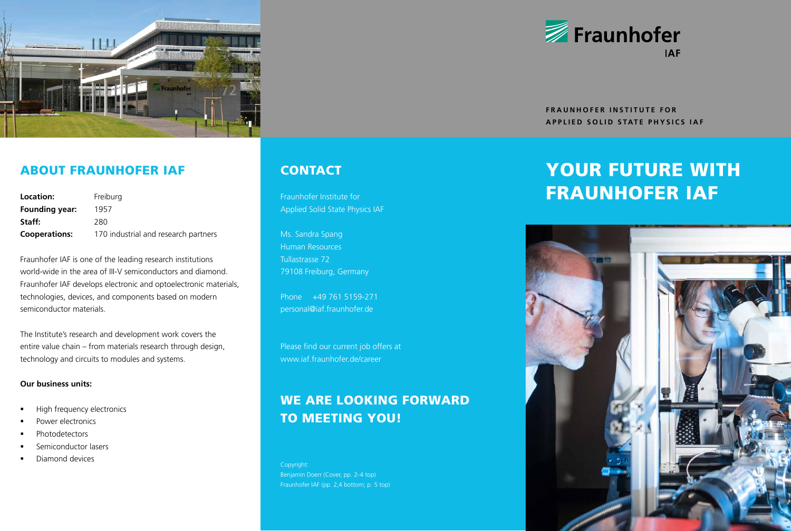

## ABOUT FRAUNHOFER IAF CONTACT

| Location:            | Freiburg                             |
|----------------------|--------------------------------------|
| Founding year:       | 1957                                 |
| Staff:               | 280                                  |
| <b>Cooperations:</b> | 170 industrial and research partners |

Fraunhofer IAF is one of the leading research institutions world-wide in the area of III-V semiconductors and diamond. Fraunhofer IAF develops electronic and optoelectronic materials, technologies, devices, and components based on modern semiconductor materials.

The Institute's research and development work covers the entire value chain – from materials research through design, technology and circuits to modules and systems.

### **Our business units:**

- High frequency electronics
- Power electronics
- **Photodetectors**
- Semiconductor lasers
- Diamond devices

Applied Solid State Physics IAF

Ms. Sandra Spang Human Resources Tullastrasse 72 79108 Freiburg, Germany

Phone +49 761 5159-271 personal@iaf.fraunhofer.de

Please find our current job offers at www.iaf.fraunhofer.de/career

## WE ARE LOOKING FORWARD TO MEETING YOU!

Copyright: Benjamin Doerr (Cover, pp. 2-4 top) Fraunhofer IAF (pp. 2,4 bottom; p. 5 top)



**FRAUNHOFER INSTITUTE FOR APPLIED SOLID STATE PHYSICS IAF**

# YOUR FUTURE WITH Fraunhofer Institute for **FRAUNHOFER IAF**